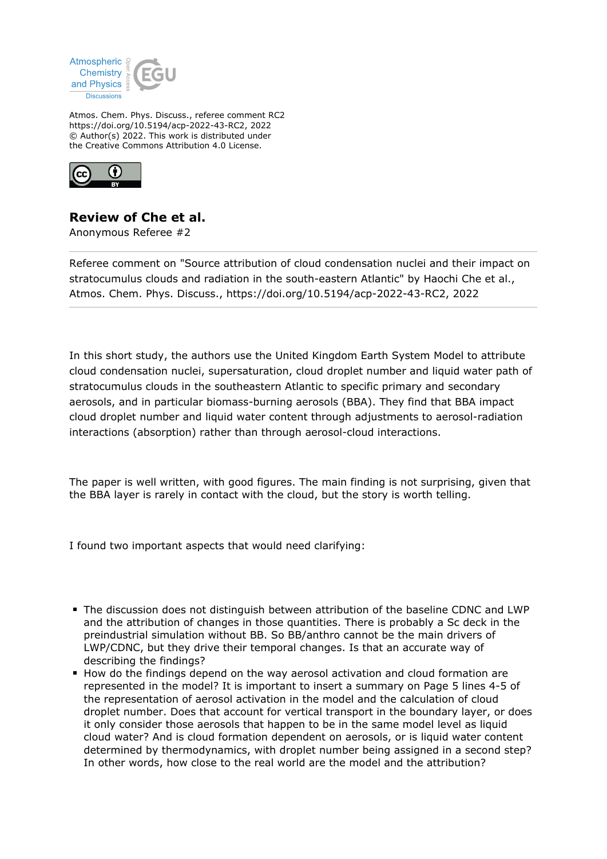

Atmos. Chem. Phys. Discuss., referee comment RC2 https://doi.org/10.5194/acp-2022-43-RC2, 2022 © Author(s) 2022. This work is distributed under the Creative Commons Attribution 4.0 License.



## **Review of Che et al.**

Anonymous Referee #2

Referee comment on "Source attribution of cloud condensation nuclei and their impact on stratocumulus clouds and radiation in the south-eastern Atlantic" by Haochi Che et al., Atmos. Chem. Phys. Discuss., https://doi.org/10.5194/acp-2022-43-RC2, 2022

In this short study, the authors use the United Kingdom Earth System Model to attribute cloud condensation nuclei, supersaturation, cloud droplet number and liquid water path of stratocumulus clouds in the southeastern Atlantic to specific primary and secondary aerosols, and in particular biomass-burning aerosols (BBA). They find that BBA impact cloud droplet number and liquid water content through adjustments to aerosol-radiation interactions (absorption) rather than through aerosol-cloud interactions.

The paper is well written, with good figures. The main finding is not surprising, given that the BBA layer is rarely in contact with the cloud, but the story is worth telling.

I found two important aspects that would need clarifying:

- The discussion does not distinguish between attribution of the baseline CDNC and LWP and the attribution of changes in those quantities. There is probably a Sc deck in the preindustrial simulation without BB. So BB/anthro cannot be the main drivers of LWP/CDNC, but they drive their temporal changes. Is that an accurate way of describing the findings?
- How do the findings depend on the way aerosol activation and cloud formation are represented in the model? It is important to insert a summary on Page 5 lines 4-5 of the representation of aerosol activation in the model and the calculation of cloud droplet number. Does that account for vertical transport in the boundary layer, or does it only consider those aerosols that happen to be in the same model level as liquid cloud water? And is cloud formation dependent on aerosols, or is liquid water content determined by thermodynamics, with droplet number being assigned in a second step? In other words, how close to the real world are the model and the attribution?